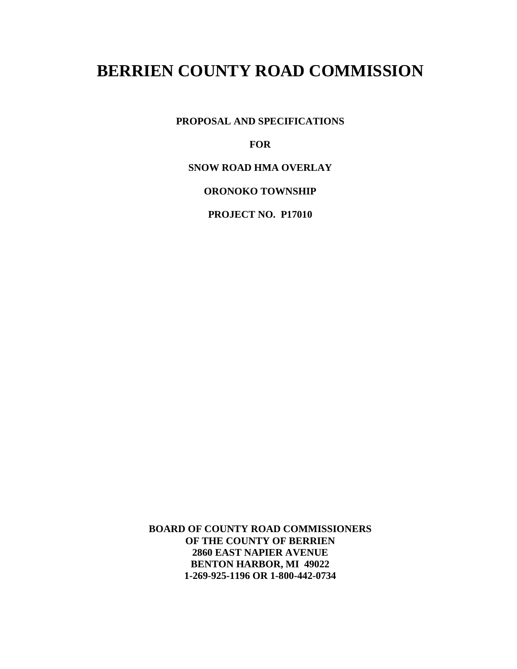**PROPOSAL AND SPECIFICATIONS**

**FOR**

**SNOW ROAD HMA OVERLAY**

**ORONOKO TOWNSHIP**

**PROJECT NO. P17010** 

**BOARD OF COUNTY ROAD COMMISSIONERS OF THE COUNTY OF BERRIEN 2860 EAST NAPIER AVENUE BENTON HARBOR, MI 49022 1-269-925-1196 OR 1-800-442-0734**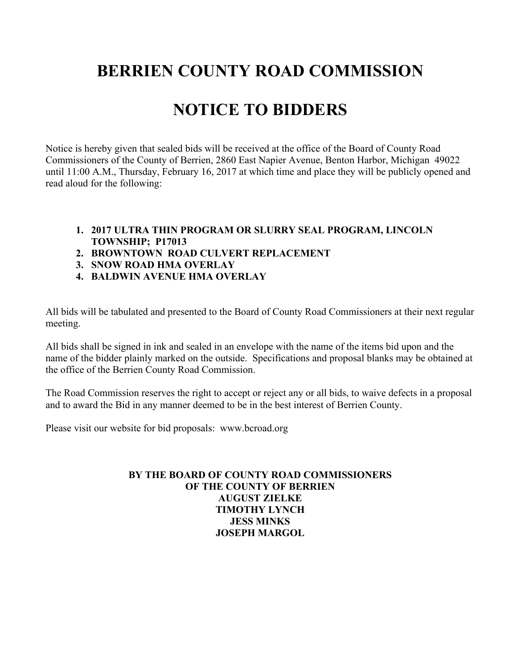# **NOTICE TO BIDDERS**

Notice is hereby given that sealed bids will be received at the office of the Board of County Road Commissioners of the County of Berrien, 2860 East Napier Avenue, Benton Harbor, Michigan 49022 until 11:00 A.M., Thursday, February 16, 2017 at which time and place they will be publicly opened and read aloud for the following:

- **1. 2017 ULTRA THIN PROGRAM OR SLURRY SEAL PROGRAM, LINCOLN TOWNSHIP; P17013**
- **2. BROWNTOWN ROAD CULVERT REPLACEMENT**
- **3. SNOW ROAD HMA OVERLAY**
- **4. BALDWIN AVENUE HMA OVERLAY**

All bids will be tabulated and presented to the Board of County Road Commissioners at their next regular meeting.

All bids shall be signed in ink and sealed in an envelope with the name of the items bid upon and the name of the bidder plainly marked on the outside. Specifications and proposal blanks may be obtained at the office of the Berrien County Road Commission.

The Road Commission reserves the right to accept or reject any or all bids, to waive defects in a proposal and to award the Bid in any manner deemed to be in the best interest of Berrien County.

Please visit our website for bid proposals: www.bcroad.org

#### **BY THE BOARD OF COUNTY ROAD COMMISSIONERS OF THE COUNTY OF BERRIEN AUGUST ZIELKE TIMOTHY LYNCH JESS MINKS JOSEPH MARGOL**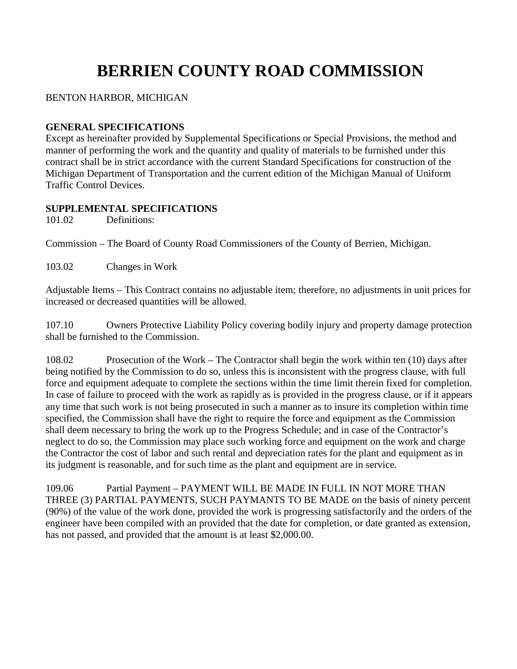#### BENTON HARBOR, MICHIGAN

#### **GENERAL SPECIFICATIONS**

Except as hereinafter provided by Supplemental Specifications or Special Provisions, the method and manner of performing the work and the quantity and quality of materials to be furnished under this contract shall be in strict accordance with the current Standard Specifications for construction of the Michigan Department of Transportation and the current edition of the Michigan Manual of Uniform Traffic Control Devices.

#### **SUPPLEMENTAL SPECIFICATIONS**

101.02 Definitions:

Commission – The Board of County Road Commissioners of the County of Berrien, Michigan.

103.02 Changes in Work

Adjustable Items – This Contract contains no adjustable item; therefore, no adjustments in unit prices for increased or decreased quantities will be allowed.

107.10 Owners Protective Liability Policy covering bodily injury and property damage protection shall be furnished to the Commission.

108.02 Prosecution of the Work – The Contractor shall begin the work within ten (10) days after being notified by the Commission to do so, unless this is inconsistent with the progress clause, with full force and equipment adequate to complete the sections within the time limit therein fixed for completion. In case of failure to proceed with the work as rapidly as is provided in the progress clause, or if it appears any time that such work is not being prosecuted in such a manner as to insure its completion within time specified, the Commission shall have the right to require the force and equipment as the Commission shall deem necessary to bring the work up to the Progress Schedule; and in case of the Contractor's neglect to do so, the Commission may place such working force and equipment on the work and charge the Contractor the cost of labor and such rental and depreciation rates for the plant and equipment as in its judgment is reasonable, and for such time as the plant and equipment are in service.

109.06 Partial Payment – PAYMENT WILL BE MADE IN FULL IN NOT MORE THAN THREE (3) PARTIAL PAYMENTS, SUCH PAYMANTS TO BE MADE on the basis of ninety percent (90%) of the value of the work done, provided the work is progressing satisfactorily and the orders of the engineer have been compiled with an provided that the date for completion, or date granted as extension, has not passed, and provided that the amount is at least \$2,000.00.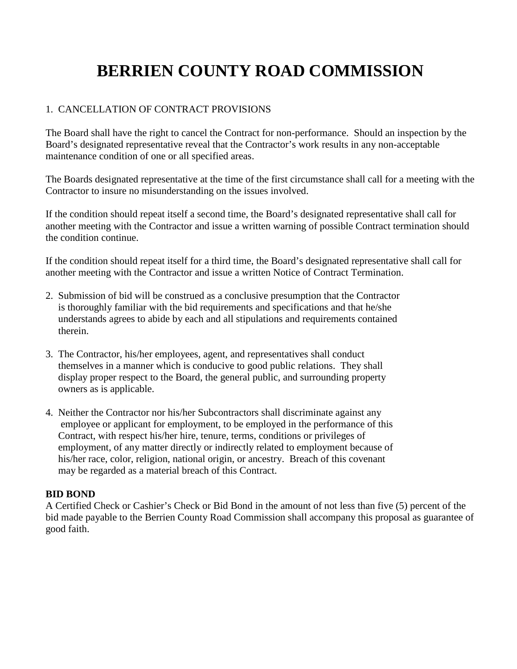#### 1. CANCELLATION OF CONTRACT PROVISIONS

The Board shall have the right to cancel the Contract for non-performance. Should an inspection by the Board's designated representative reveal that the Contractor's work results in any non-acceptable maintenance condition of one or all specified areas.

The Boards designated representative at the time of the first circumstance shall call for a meeting with the Contractor to insure no misunderstanding on the issues involved.

If the condition should repeat itself a second time, the Board's designated representative shall call for another meeting with the Contractor and issue a written warning of possible Contract termination should the condition continue.

If the condition should repeat itself for a third time, the Board's designated representative shall call for another meeting with the Contractor and issue a written Notice of Contract Termination.

- 2. Submission of bid will be construed as a conclusive presumption that the Contractor is thoroughly familiar with the bid requirements and specifications and that he/she understands agrees to abide by each and all stipulations and requirements contained therein.
- 3. The Contractor, his/her employees, agent, and representatives shall conduct themselves in a manner which is conducive to good public relations. They shall display proper respect to the Board, the general public, and surrounding property owners as is applicable.
- 4. Neither the Contractor nor his/her Subcontractors shall discriminate against any employee or applicant for employment, to be employed in the performance of this Contract, with respect his/her hire, tenure, terms, conditions or privileges of employment, of any matter directly or indirectly related to employment because of his/her race, color, religion, national origin, or ancestry. Breach of this covenant may be regarded as a material breach of this Contract.

#### **BID BOND**

A Certified Check or Cashier's Check or Bid Bond in the amount of not less than five (5) percent of the bid made payable to the Berrien County Road Commission shall accompany this proposal as guarantee of good faith.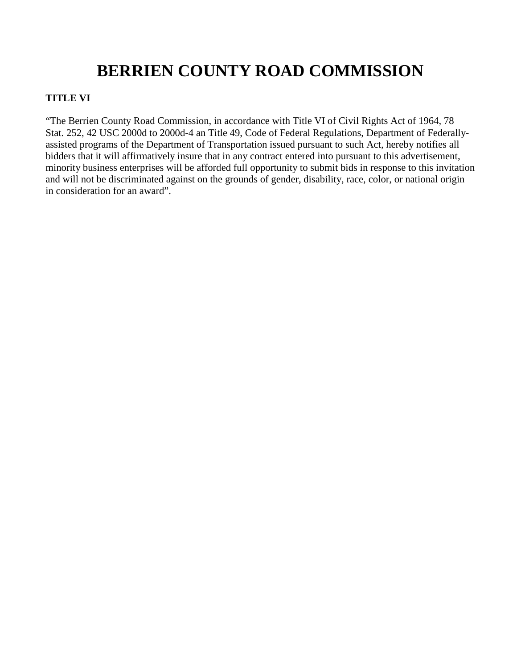#### **TITLE VI**

"The Berrien County Road Commission, in accordance with Title VI of Civil Rights Act of 1964, 78 Stat. 252, 42 USC 2000d to 2000d-4 an Title 49, Code of Federal Regulations, Department of Federallyassisted programs of the Department of Transportation issued pursuant to such Act, hereby notifies all bidders that it will affirmatively insure that in any contract entered into pursuant to this advertisement, minority business enterprises will be afforded full opportunity to submit bids in response to this invitation and will not be discriminated against on the grounds of gender, disability, race, color, or national origin in consideration for an award".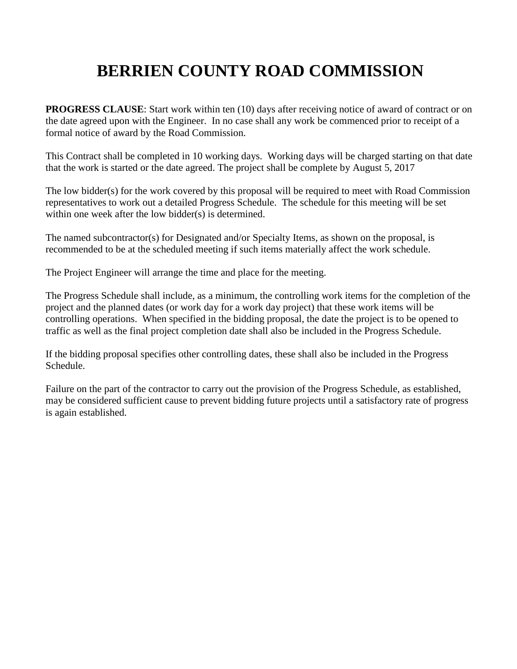**PROGRESS CLAUSE:** Start work within ten (10) days after receiving notice of award of contract or on the date agreed upon with the Engineer. In no case shall any work be commenced prior to receipt of a formal notice of award by the Road Commission.

This Contract shall be completed in 10 working days. Working days will be charged starting on that date that the work is started or the date agreed. The project shall be complete by August 5, 2017

The low bidder(s) for the work covered by this proposal will be required to meet with Road Commission representatives to work out a detailed Progress Schedule. The schedule for this meeting will be set within one week after the low bidder(s) is determined.

The named subcontractor(s) for Designated and/or Specialty Items, as shown on the proposal, is recommended to be at the scheduled meeting if such items materially affect the work schedule.

The Project Engineer will arrange the time and place for the meeting.

The Progress Schedule shall include, as a minimum, the controlling work items for the completion of the project and the planned dates (or work day for a work day project) that these work items will be controlling operations. When specified in the bidding proposal, the date the project is to be opened to traffic as well as the final project completion date shall also be included in the Progress Schedule.

If the bidding proposal specifies other controlling dates, these shall also be included in the Progress Schedule.

Failure on the part of the contractor to carry out the provision of the Progress Schedule, as established, may be considered sufficient cause to prevent bidding future projects until a satisfactory rate of progress is again established.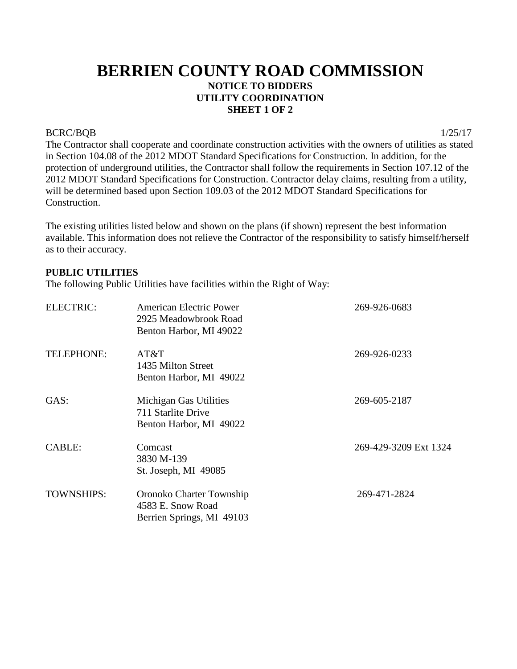### **BERRIEN COUNTY ROAD COMMISSION NOTICE TO BIDDERS UTILITY COORDINATION SHEET 1 OF 2**

#### BCRC/BQB 1/25/17

The Contractor shall cooperate and coordinate construction activities with the owners of utilities as stated in Section 104.08 of the 2012 MDOT Standard Specifications for Construction. In addition, for the protection of underground utilities, the Contractor shall follow the requirements in Section 107.12 of the 2012 MDOT Standard Specifications for Construction. Contractor delay claims, resulting from a utility, will be determined based upon Section 109.03 of the 2012 MDOT Standard Specifications for Construction.

The existing utilities listed below and shown on the plans (if shown) represent the best information available. This information does not relieve the Contractor of the responsibility to satisfy himself/herself as to their accuracy.

#### **PUBLIC UTILITIES**

The following Public Utilities have facilities within the Right of Way:

| <b>ELECTRIC:</b>  | American Electric Power<br>2925 Meadowbrook Road<br>Benton Harbor, MI 49022 | 269-926-0683          |
|-------------------|-----------------------------------------------------------------------------|-----------------------|
| TELEPHONE:        | AT&T<br>1435 Milton Street<br>Benton Harbor, MI 49022                       | 269-926-0233          |
| GAS:              | Michigan Gas Utilities<br>711 Starlite Drive<br>Benton Harbor, MI 49022     | 269-605-2187          |
| <b>CABLE:</b>     | Comcast<br>3830 M-139<br>St. Joseph, MI 49085                               | 269-429-3209 Ext 1324 |
| <b>TOWNSHIPS:</b> | Oronoko Charter Township<br>4583 E. Snow Road<br>Berrien Springs, MI 49103  | 269-471-2824          |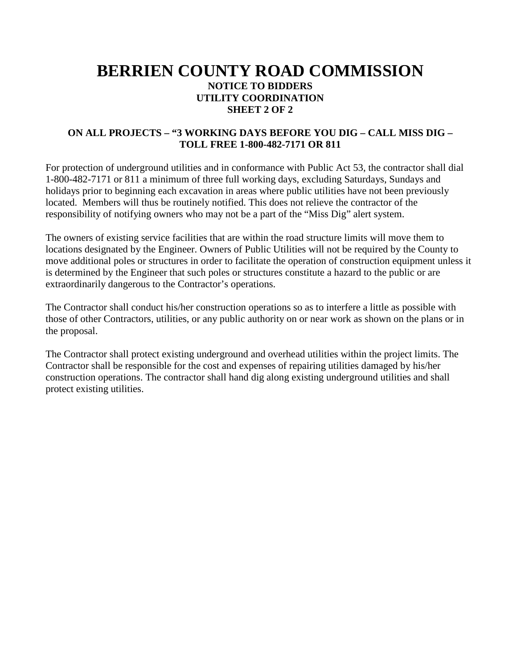### **BERRIEN COUNTY ROAD COMMISSION NOTICE TO BIDDERS UTILITY COORDINATION SHEET 2 OF 2**

#### **ON ALL PROJECTS – "3 WORKING DAYS BEFORE YOU DIG – CALL MISS DIG – TOLL FREE 1-800-482-7171 OR 811**

For protection of underground utilities and in conformance with Public Act 53, the contractor shall dial 1-800-482-7171 or 811 a minimum of three full working days, excluding Saturdays, Sundays and holidays prior to beginning each excavation in areas where public utilities have not been previously located. Members will thus be routinely notified. This does not relieve the contractor of the responsibility of notifying owners who may not be a part of the "Miss Dig" alert system.

The owners of existing service facilities that are within the road structure limits will move them to locations designated by the Engineer. Owners of Public Utilities will not be required by the County to move additional poles or structures in order to facilitate the operation of construction equipment unless it is determined by the Engineer that such poles or structures constitute a hazard to the public or are extraordinarily dangerous to the Contractor's operations.

The Contractor shall conduct his/her construction operations so as to interfere a little as possible with those of other Contractors, utilities, or any public authority on or near work as shown on the plans or in the proposal.

The Contractor shall protect existing underground and overhead utilities within the project limits. The Contractor shall be responsible for the cost and expenses of repairing utilities damaged by his/her construction operations. The contractor shall hand dig along existing underground utilities and shall protect existing utilities.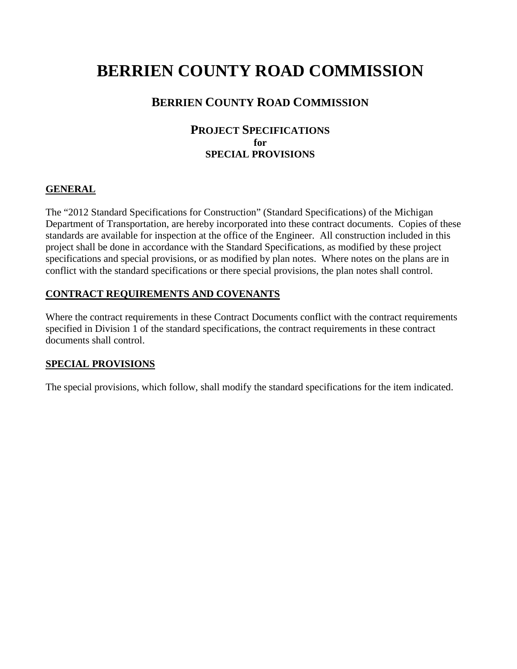#### **BERRIEN COUNTY ROAD COMMISSION**

#### **PROJECT SPECIFICATIONS for SPECIAL PROVISIONS**

#### **GENERAL**

The "2012 Standard Specifications for Construction" (Standard Specifications) of the Michigan Department of Transportation, are hereby incorporated into these contract documents. Copies of these standards are available for inspection at the office of the Engineer. All construction included in this project shall be done in accordance with the Standard Specifications, as modified by these project specifications and special provisions, or as modified by plan notes. Where notes on the plans are in conflict with the standard specifications or there special provisions, the plan notes shall control.

#### **CONTRACT REQUIREMENTS AND COVENANTS**

Where the contract requirements in these Contract Documents conflict with the contract requirements specified in Division 1 of the standard specifications, the contract requirements in these contract documents shall control.

#### **SPECIAL PROVISIONS**

The special provisions, which follow, shall modify the standard specifications for the item indicated.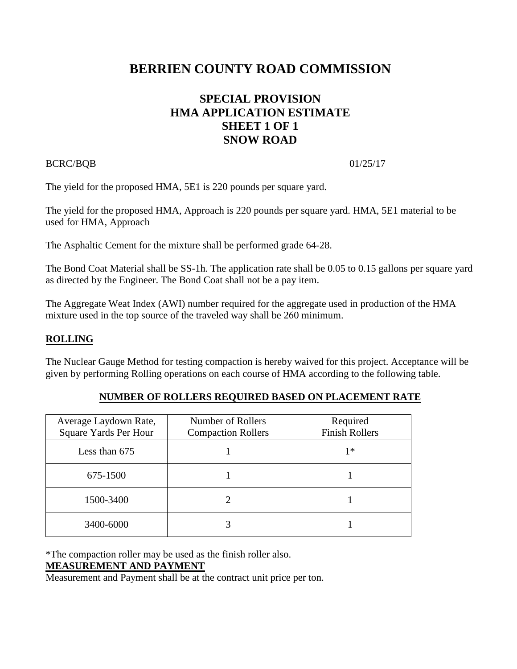### **SPECIAL PROVISION HMA APPLICATION ESTIMATE SHEET 1 OF 1 SNOW ROAD**

#### BCRC/BQB 01/25/17

The yield for the proposed HMA, 5E1 is 220 pounds per square yard.

The yield for the proposed HMA, Approach is 220 pounds per square yard. HMA, 5E1 material to be used for HMA, Approach

The Asphaltic Cement for the mixture shall be performed grade 64-28.

The Bond Coat Material shall be SS-1h. The application rate shall be 0.05 to 0.15 gallons per square yard as directed by the Engineer. The Bond Coat shall not be a pay item.

The Aggregate Weat Index (AWI) number required for the aggregate used in production of the HMA mixture used in the top source of the traveled way shall be 260 minimum.

#### **ROLLING**

The Nuclear Gauge Method for testing compaction is hereby waived for this project. Acceptance will be given by performing Rolling operations on each course of HMA according to the following table.

| Average Laydown Rate, | Number of Rollers                                  | Required |  |
|-----------------------|----------------------------------------------------|----------|--|
| Square Yards Per Hour | <b>Finish Rollers</b><br><b>Compaction Rollers</b> |          |  |
| Less than $675$       |                                                    | 1*       |  |
| 675-1500              |                                                    |          |  |
| 1500-3400             |                                                    |          |  |
| 3400-6000             |                                                    |          |  |

#### **NUMBER OF ROLLERS REQUIRED BASED ON PLACEMENT RATE**

\*The compaction roller may be used as the finish roller also.

#### **MEASUREMENT AND PAYMENT**

Measurement and Payment shall be at the contract unit price per ton.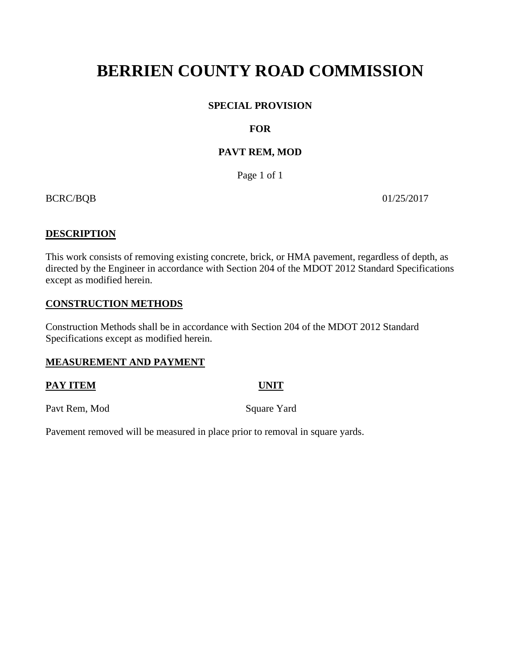#### **SPECIAL PROVISION**

#### **FOR**

#### **PAVT REM, MOD**

Page 1 of 1

BCRC/BQB 01/25/2017

#### **DESCRIPTION**

This work consists of removing existing concrete, brick, or HMA pavement, regardless of depth, as directed by the Engineer in accordance with Section 204 of the MDOT 2012 Standard Specifications except as modified herein.

#### **CONSTRUCTION METHODS**

Construction Methods shall be in accordance with Section 204 of the MDOT 2012 Standard Specifications except as modified herein.

#### **MEASUREMENT AND PAYMENT**

#### **PAY ITEM UNIT**

Pavt Rem, Mod Square Yard

Pavement removed will be measured in place prior to removal in square yards.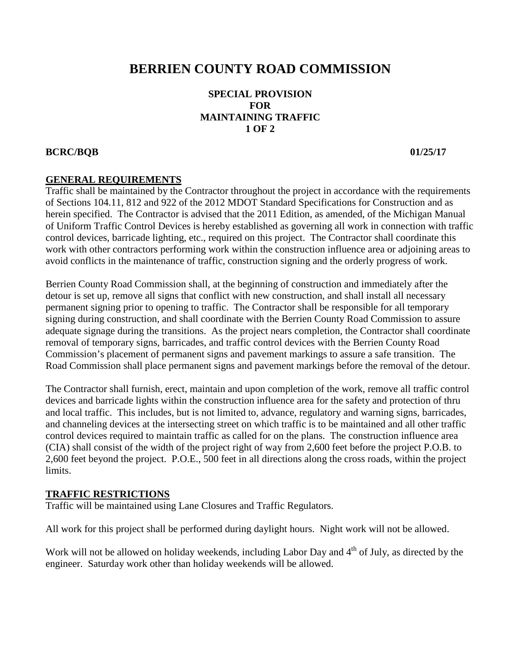#### **SPECIAL PROVISION FOR MAINTAINING TRAFFIC 1 OF 2**

#### **BCRC/BQB 01/25/17**

#### **GENERAL REQUIREMENTS**

Traffic shall be maintained by the Contractor throughout the project in accordance with the requirements of Sections 104.11, 812 and 922 of the 2012 MDOT Standard Specifications for Construction and as herein specified. The Contractor is advised that the 2011 Edition, as amended, of the Michigan Manual of Uniform Traffic Control Devices is hereby established as governing all work in connection with traffic control devices, barricade lighting, etc., required on this project. The Contractor shall coordinate this work with other contractors performing work within the construction influence area or adjoining areas to avoid conflicts in the maintenance of traffic, construction signing and the orderly progress of work.

Berrien County Road Commission shall, at the beginning of construction and immediately after the detour is set up, remove all signs that conflict with new construction, and shall install all necessary permanent signing prior to opening to traffic. The Contractor shall be responsible for all temporary signing during construction, and shall coordinate with the Berrien County Road Commission to assure adequate signage during the transitions. As the project nears completion, the Contractor shall coordinate removal of temporary signs, barricades, and traffic control devices with the Berrien County Road Commission's placement of permanent signs and pavement markings to assure a safe transition. The Road Commission shall place permanent signs and pavement markings before the removal of the detour.

The Contractor shall furnish, erect, maintain and upon completion of the work, remove all traffic control devices and barricade lights within the construction influence area for the safety and protection of thru and local traffic. This includes, but is not limited to, advance, regulatory and warning signs, barricades, and channeling devices at the intersecting street on which traffic is to be maintained and all other traffic control devices required to maintain traffic as called for on the plans. The construction influence area (CIA) shall consist of the width of the project right of way from 2,600 feet before the project P.O.B. to 2,600 feet beyond the project. P.O.E., 500 feet in all directions along the cross roads, within the project limits.

#### **TRAFFIC RESTRICTIONS**

Traffic will be maintained using Lane Closures and Traffic Regulators.

All work for this project shall be performed during daylight hours. Night work will not be allowed.

Work will not be allowed on holiday weekends, including Labor Day and 4<sup>th</sup> of July, as directed by the engineer. Saturday work other than holiday weekends will be allowed.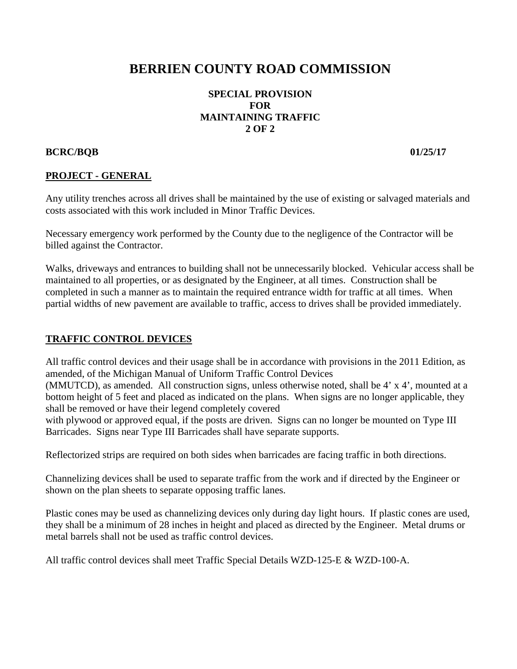#### **SPECIAL PROVISION FOR MAINTAINING TRAFFIC 2 OF 2**

#### **BCRC/BQB 01/25/17**

#### **PROJECT - GENERAL**

Any utility trenches across all drives shall be maintained by the use of existing or salvaged materials and costs associated with this work included in Minor Traffic Devices.

Necessary emergency work performed by the County due to the negligence of the Contractor will be billed against the Contractor.

Walks, driveways and entrances to building shall not be unnecessarily blocked. Vehicular access shall be maintained to all properties, or as designated by the Engineer, at all times. Construction shall be completed in such a manner as to maintain the required entrance width for traffic at all times. When partial widths of new pavement are available to traffic, access to drives shall be provided immediately.

#### **TRAFFIC CONTROL DEVICES**

All traffic control devices and their usage shall be in accordance with provisions in the 2011 Edition, as amended, of the Michigan Manual of Uniform Traffic Control Devices

(MMUTCD), as amended. All construction signs, unless otherwise noted, shall be 4' x 4', mounted at a bottom height of 5 feet and placed as indicated on the plans. When signs are no longer applicable, they shall be removed or have their legend completely covered

with plywood or approved equal, if the posts are driven. Signs can no longer be mounted on Type III Barricades. Signs near Type III Barricades shall have separate supports.

Reflectorized strips are required on both sides when barricades are facing traffic in both directions.

Channelizing devices shall be used to separate traffic from the work and if directed by the Engineer or shown on the plan sheets to separate opposing traffic lanes.

Plastic cones may be used as channelizing devices only during day light hours. If plastic cones are used, they shall be a minimum of 28 inches in height and placed as directed by the Engineer. Metal drums or metal barrels shall not be used as traffic control devices.

All traffic control devices shall meet Traffic Special Details WZD-125-E & WZD-100-A.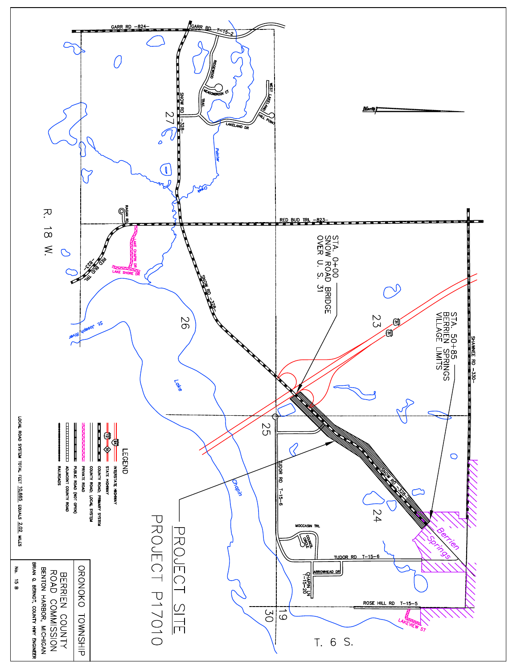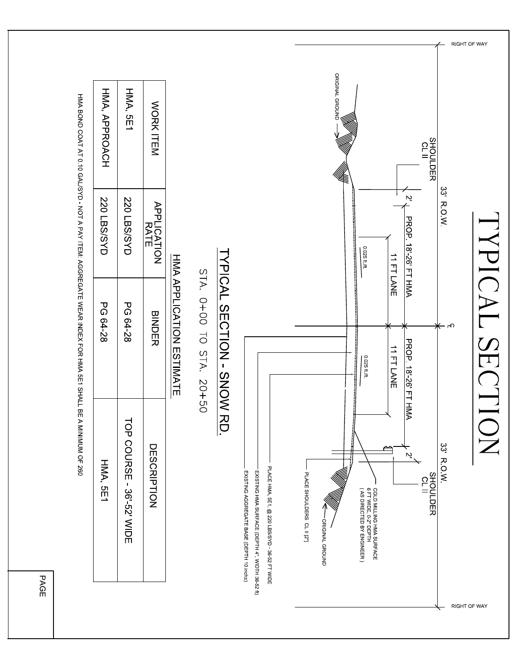

**PAGE**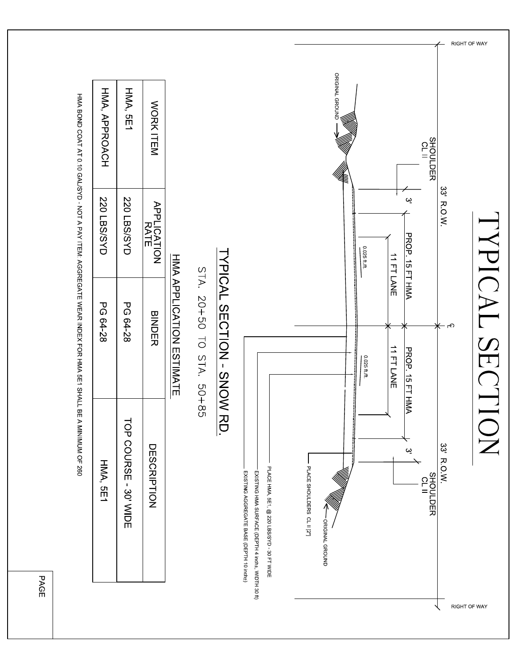

**PAGE**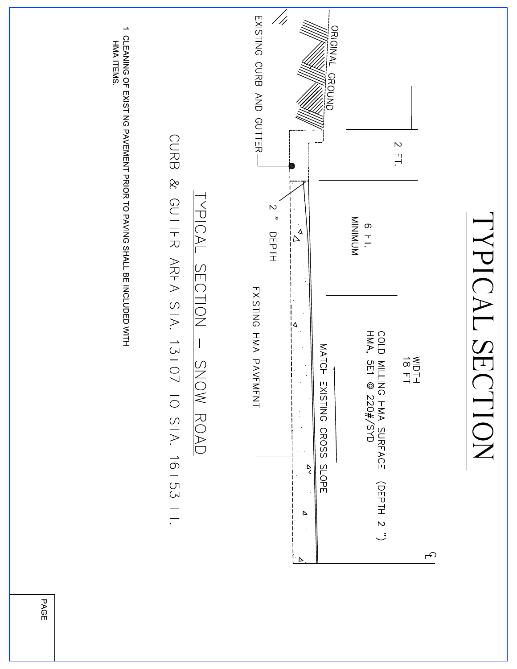

PAGE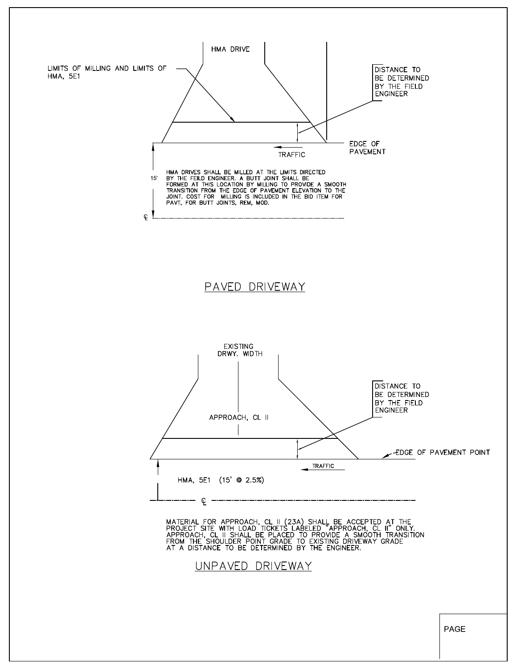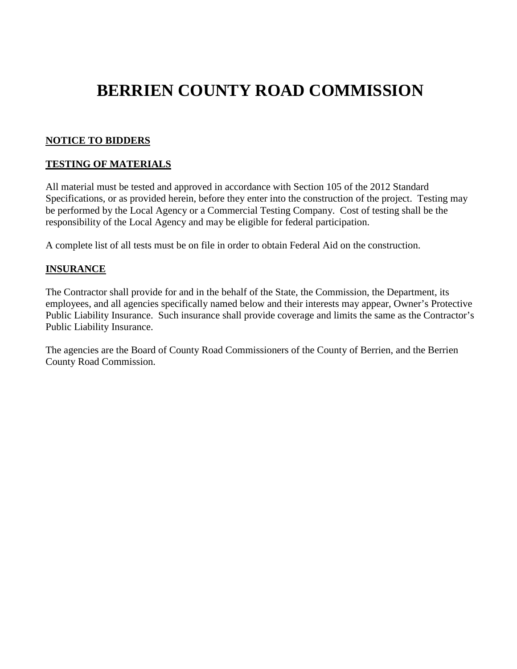#### **NOTICE TO BIDDERS**

#### **TESTING OF MATERIALS**

All material must be tested and approved in accordance with Section 105 of the 2012 Standard Specifications, or as provided herein, before they enter into the construction of the project. Testing may be performed by the Local Agency or a Commercial Testing Company. Cost of testing shall be the responsibility of the Local Agency and may be eligible for federal participation.

A complete list of all tests must be on file in order to obtain Federal Aid on the construction.

#### **INSURANCE**

The Contractor shall provide for and in the behalf of the State, the Commission, the Department, its employees, and all agencies specifically named below and their interests may appear, Owner's Protective Public Liability Insurance. Such insurance shall provide coverage and limits the same as the Contractor's Public Liability Insurance.

The agencies are the Board of County Road Commissioners of the County of Berrien, and the Berrien County Road Commission.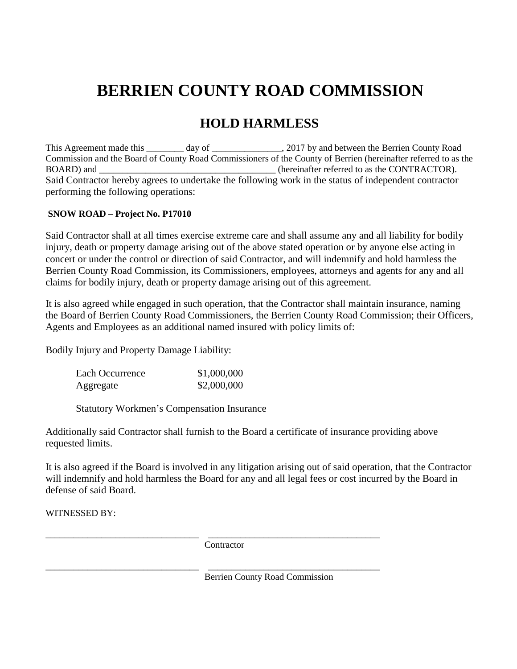### **HOLD HARMLESS**

This Agreement made this \_\_\_\_\_\_\_\_ day of \_\_\_\_\_\_\_\_\_\_\_\_\_\_, 2017 by and between the Berrien County Road Commission and the Board of County Road Commissioners of the County of Berrien (hereinafter referred to as the BOARD) and  $\qquad \qquad$  (hereinafter referred to as the CONTRACTOR). Said Contractor hereby agrees to undertake the following work in the status of independent contractor performing the following operations:

#### **SNOW ROAD – Project No. P17010**

Said Contractor shall at all times exercise extreme care and shall assume any and all liability for bodily injury, death or property damage arising out of the above stated operation or by anyone else acting in concert or under the control or direction of said Contractor, and will indemnify and hold harmless the Berrien County Road Commission, its Commissioners, employees, attorneys and agents for any and all claims for bodily injury, death or property damage arising out of this agreement.

It is also agreed while engaged in such operation, that the Contractor shall maintain insurance, naming the Board of Berrien County Road Commissioners, the Berrien County Road Commission; their Officers, Agents and Employees as an additional named insured with policy limits of:

Bodily Injury and Property Damage Liability:

| Each Occurrence | \$1,000,000 |
|-----------------|-------------|
| Aggregate       | \$2,000,000 |

Statutory Workmen's Compensation Insurance

Additionally said Contractor shall furnish to the Board a certificate of insurance providing above requested limits.

It is also agreed if the Board is involved in any litigation arising out of said operation, that the Contractor will indemnify and hold harmless the Board for any and all legal fees or cost incurred by the Board in defense of said Board.

WITNESSED BY:

**Contractor** 

\_\_\_\_\_\_\_\_\_\_\_\_\_\_\_\_\_\_\_\_\_\_\_\_\_\_\_\_\_\_\_\_\_ \_\_\_\_\_\_\_\_\_\_\_\_\_\_\_\_\_\_\_\_\_\_\_\_\_\_\_\_\_\_\_\_\_\_\_\_\_

\_\_\_\_\_\_\_\_\_\_\_\_\_\_\_\_\_\_\_\_\_\_\_\_\_\_\_\_\_\_\_\_\_ \_\_\_\_\_\_\_\_\_\_\_\_\_\_\_\_\_\_\_\_\_\_\_\_\_\_\_\_\_\_\_\_\_\_\_\_\_ Berrien County Road Commission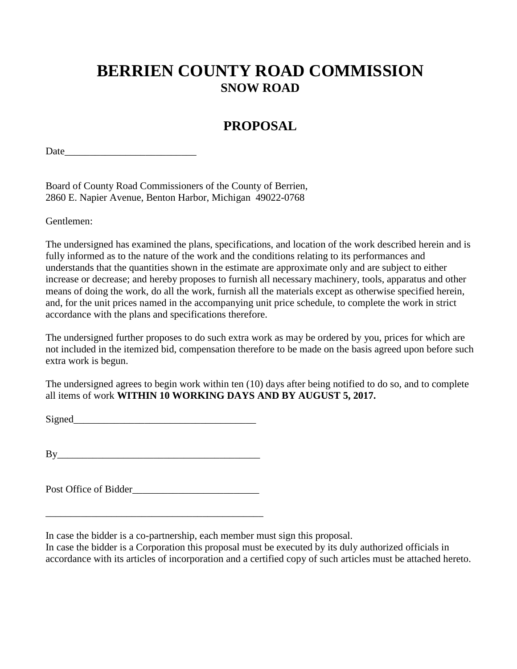### **BERRIEN COUNTY ROAD COMMISSION SNOW ROAD**

### **PROPOSAL**

Date and the set of  $\sim$ 

Board of County Road Commissioners of the County of Berrien, 2860 E. Napier Avenue, Benton Harbor, Michigan 49022-0768

Gentlemen:

The undersigned has examined the plans, specifications, and location of the work described herein and is fully informed as to the nature of the work and the conditions relating to its performances and understands that the quantities shown in the estimate are approximate only and are subject to either increase or decrease; and hereby proposes to furnish all necessary machinery, tools, apparatus and other means of doing the work, do all the work, furnish all the materials except as otherwise specified herein, and, for the unit prices named in the accompanying unit price schedule, to complete the work in strict accordance with the plans and specifications therefore.

The undersigned further proposes to do such extra work as may be ordered by you, prices for which are not included in the itemized bid, compensation therefore to be made on the basis agreed upon before such extra work is begun.

The undersigned agrees to begin work within ten (10) days after being notified to do so, and to complete all items of work **WITHIN 10 WORKING DAYS AND BY AUGUST 5, 2017.**

Signed\_\_\_\_\_\_\_\_\_\_\_\_\_\_\_\_\_\_\_\_\_\_\_\_\_\_\_\_\_\_\_\_\_\_\_\_

 $\operatorname{By}$ 

Post Office of Bidder

\_\_\_\_\_\_\_\_\_\_\_\_\_\_\_\_\_\_\_\_\_\_\_\_\_\_\_\_\_\_\_\_\_\_\_\_\_\_\_\_\_\_\_

In case the bidder is a co-partnership, each member must sign this proposal.

In case the bidder is a Corporation this proposal must be executed by its duly authorized officials in accordance with its articles of incorporation and a certified copy of such articles must be attached hereto.